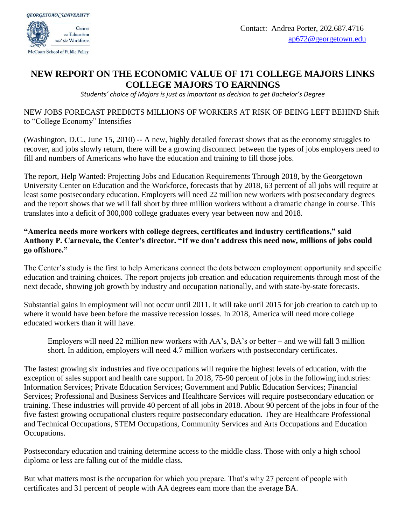

## **NEW REPORT ON THE ECONOMIC VALUE OF 171 COLLEGE MAJORS LINKS COLLEGE MAJORS TO EARNINGS**

*Students' choice of Majors is just as important as decision to get Bachelor's Degree*

## NEW JOBS FORECAST PREDICTS MILLIONS OF WORKERS AT RISK OF BEING LEFT BEHIND Shift to "College Economy" Intensifies

(Washington, D.C., June 15, 2010) -- A new, highly detailed forecast shows that as the economy struggles to recover, and jobs slowly return, there will be a growing disconnect between the types of jobs employers need to fill and numbers of Americans who have the education and training to fill those jobs.

The report, Help Wanted: Projecting Jobs and Education Requirements Through 2018, by the Georgetown University Center on Education and the Workforce, forecasts that by 2018, 63 percent of all jobs will require at least some postsecondary education. Employers will need 22 million new workers with postsecondary degrees – and the report shows that we will fall short by three million workers without a dramatic change in course. This translates into a deficit of 300,000 college graduates every year between now and 2018.

## **"America needs more workers with college degrees, certificates and industry certifications," said Anthony P. Carnevale, the Center's director. "If we don't address this need now, millions of jobs could go offshore."**

The Center's study is the first to help Americans connect the dots between employment opportunity and specific education and training choices. The report projects job creation and education requirements through most of the next decade, showing job growth by industry and occupation nationally, and with state-by-state forecasts.

Substantial gains in employment will not occur until 2011. It will take until 2015 for job creation to catch up to where it would have been before the massive recession losses. In 2018, America will need more college educated workers than it will have.

Employers will need 22 million new workers with AA's, BA's or better – and we will fall 3 million short. In addition, employers will need 4.7 million workers with postsecondary certificates.

The fastest growing six industries and five occupations will require the highest levels of education, with the exception of sales support and health care support. In 2018, 75-90 percent of jobs in the following industries: Information Services; Private Education Services; Government and Public Education Services; Financial Services; Professional and Business Services and Healthcare Services will require postsecondary education or training. These industries will provide 40 percent of all jobs in 2018. About 90 percent of the jobs in four of the five fastest growing occupational clusters require postsecondary education. They are Healthcare Professional and Technical Occupations, STEM Occupations, Community Services and Arts Occupations and Education Occupations.

Postsecondary education and training determine access to the middle class. Those with only a high school diploma or less are falling out of the middle class.

But what matters most is the occupation for which you prepare. That's why 27 percent of people with certificates and 31 percent of people with AA degrees earn more than the average BA.